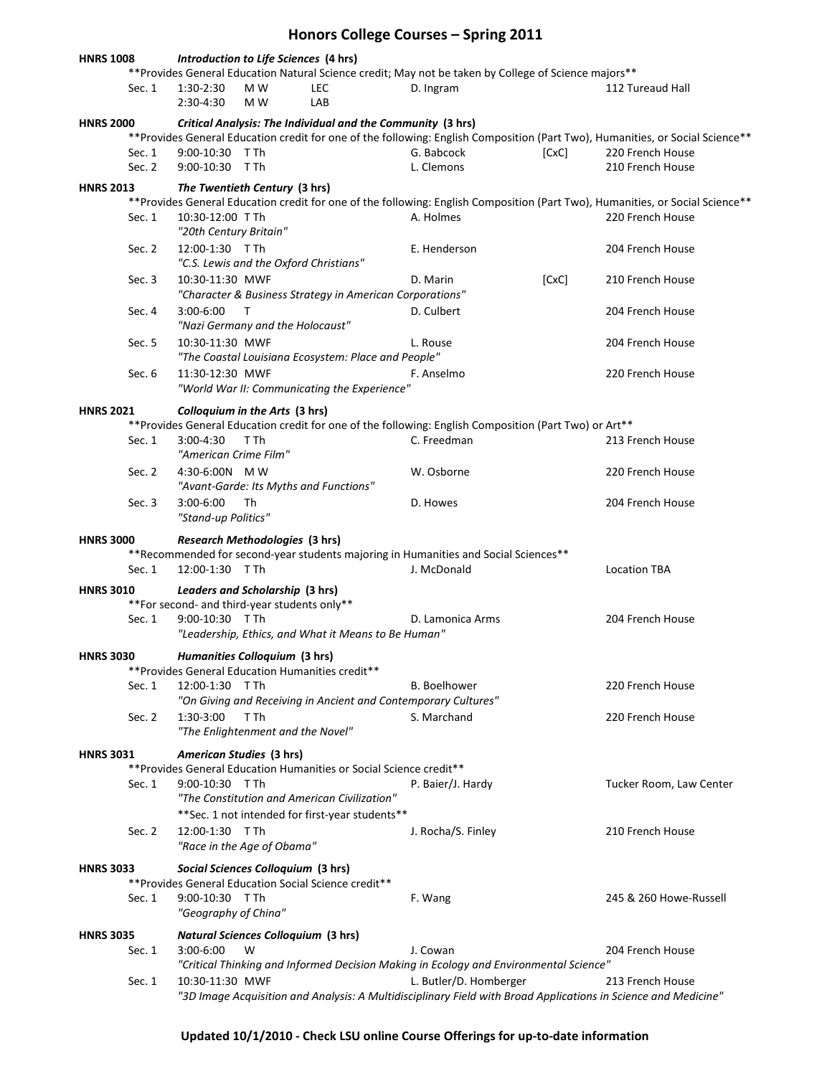| Honors College Courses - Spring 2011                                                                                                                               |                    |                                                                                                                                |                                            |                                                                     |                                                                                                                                          |       |                                                                                                                                |  |  |
|--------------------------------------------------------------------------------------------------------------------------------------------------------------------|--------------------|--------------------------------------------------------------------------------------------------------------------------------|--------------------------------------------|---------------------------------------------------------------------|------------------------------------------------------------------------------------------------------------------------------------------|-------|--------------------------------------------------------------------------------------------------------------------------------|--|--|
| <b>HNRS 1008</b><br>Introduction to Life Sciences (4 hrs)<br>** Provides General Education Natural Science credit; May not be taken by College of Science majors** |                    |                                                                                                                                |                                            |                                                                     |                                                                                                                                          |       |                                                                                                                                |  |  |
|                                                                                                                                                                    | Sec. 1             | 1:30-2:30<br>2:30-4:30                                                                                                         | M W<br>M W                                 | <b>LEC</b><br>LAB                                                   | D. Ingram                                                                                                                                |       | 112 Tureaud Hall                                                                                                               |  |  |
| Critical Analysis: The Individual and the Community (3 hrs)<br><b>HNRS 2000</b>                                                                                    |                    |                                                                                                                                |                                            |                                                                     |                                                                                                                                          |       |                                                                                                                                |  |  |
|                                                                                                                                                                    |                    | ** Provides General Education credit for one of the following: English Composition (Part Two), Humanities, or Social Science** |                                            |                                                                     |                                                                                                                                          |       |                                                                                                                                |  |  |
|                                                                                                                                                                    | Sec. 1<br>Sec. $2$ | 9:00-10:30 TTh<br>9:00-10:30 TTh                                                                                               |                                            |                                                                     | G. Babcock<br>L. Clemons                                                                                                                 | [CxC] | 220 French House<br>210 French House                                                                                           |  |  |
|                                                                                                                                                                    |                    |                                                                                                                                |                                            |                                                                     |                                                                                                                                          |       |                                                                                                                                |  |  |
| <b>HNRS 2013</b>                                                                                                                                                   |                    |                                                                                                                                | The Twentieth Century (3 hrs)              |                                                                     |                                                                                                                                          |       | ** Provides General Education credit for one of the following: English Composition (Part Two), Humanities, or Social Science** |  |  |
|                                                                                                                                                                    | Sec. 1             | 10:30-12:00 TTh<br>"20th Century Britain"                                                                                      |                                            |                                                                     | A. Holmes                                                                                                                                |       | 220 French House                                                                                                               |  |  |
|                                                                                                                                                                    | Sec. 2             | 12:00-1:30 TTh                                                                                                                 | "C.S. Lewis and the Oxford Christians"     |                                                                     | E. Henderson                                                                                                                             |       | 204 French House                                                                                                               |  |  |
|                                                                                                                                                                    | Sec. 3             | 10:30-11:30 MWF                                                                                                                |                                            | "Character & Business Strategy in American Corporations"            | D. Marin                                                                                                                                 | [CxC] | 210 French House                                                                                                               |  |  |
|                                                                                                                                                                    | Sec. 4             | 3:00-6:00                                                                                                                      | Т<br>"Nazi Germany and the Holocaust"      |                                                                     | D. Culbert                                                                                                                               |       | 204 French House                                                                                                               |  |  |
|                                                                                                                                                                    | Sec. 5             | 10:30-11:30 MWF                                                                                                                |                                            | "The Coastal Louisiana Ecosystem: Place and People"                 | L. Rouse                                                                                                                                 |       | 204 French House                                                                                                               |  |  |
|                                                                                                                                                                    | Sec. 6             | 11:30-12:30 MWF                                                                                                                |                                            | "World War II: Communicating the Experience"                        | F. Anselmo                                                                                                                               |       | 220 French House                                                                                                               |  |  |
| <b>HNRS 2021</b>                                                                                                                                                   |                    |                                                                                                                                | Colloquium in the Arts (3 hrs)             |                                                                     |                                                                                                                                          |       |                                                                                                                                |  |  |
|                                                                                                                                                                    |                    |                                                                                                                                |                                            |                                                                     | ** Provides General Education credit for one of the following: English Composition (Part Two) or Art**                                   |       |                                                                                                                                |  |  |
|                                                                                                                                                                    | Sec. 1             | $3:00 - 4:30$<br>"American Crime Film"                                                                                         | T Th                                       |                                                                     | C. Freedman                                                                                                                              |       | 213 French House                                                                                                               |  |  |
|                                                                                                                                                                    | Sec. 2             | 4:30-6:00N MW                                                                                                                  | "Avant-Garde: Its Myths and Functions"     |                                                                     | W. Osborne                                                                                                                               |       | 220 French House                                                                                                               |  |  |
|                                                                                                                                                                    | Sec. 3             | $3:00-6:00$<br>"Stand-up Politics"                                                                                             | Th                                         |                                                                     | D. Howes                                                                                                                                 |       | 204 French House                                                                                                               |  |  |
| <b>HNRS 3000</b>                                                                                                                                                   |                    |                                                                                                                                | Research Methodologies (3 hrs)             |                                                                     |                                                                                                                                          |       |                                                                                                                                |  |  |
|                                                                                                                                                                    |                    |                                                                                                                                |                                            |                                                                     | ** Recommended for second-year students majoring in Humanities and Social Sciences**                                                     |       |                                                                                                                                |  |  |
|                                                                                                                                                                    | Sec. $1$           | 12:00-1:30 TTh                                                                                                                 |                                            |                                                                     | J. McDonald                                                                                                                              |       | <b>Location TBA</b>                                                                                                            |  |  |
| Leaders and Scholarship (3 hrs)<br><b>HNRS 3010</b><br>** For second- and third-year students only**                                                               |                    |                                                                                                                                |                                            |                                                                     |                                                                                                                                          |       |                                                                                                                                |  |  |
|                                                                                                                                                                    | Sec. 1             | 9:00-10:30 TTh                                                                                                                 |                                            |                                                                     | D. Lamonica Arms                                                                                                                         |       | 204 French House                                                                                                               |  |  |
|                                                                                                                                                                    |                    |                                                                                                                                |                                            | "Leadership, Ethics, and What it Means to Be Human"                 |                                                                                                                                          |       |                                                                                                                                |  |  |
| <b>HNRS 3030</b>                                                                                                                                                   |                    |                                                                                                                                | Humanities Colloquium (3 hrs)              |                                                                     |                                                                                                                                          |       |                                                                                                                                |  |  |
|                                                                                                                                                                    | Sec. 1             | 12:00-1:30 TTh                                                                                                                 |                                            | **Provides General Education Humanities credit**                    | <b>B.</b> Boelhower                                                                                                                      |       | 220 French House                                                                                                               |  |  |
|                                                                                                                                                                    |                    |                                                                                                                                |                                            |                                                                     | "On Giving and Receiving in Ancient and Contemporary Cultures"                                                                           |       |                                                                                                                                |  |  |
|                                                                                                                                                                    | Sec. 2             | 1:30-3:00                                                                                                                      | T Th                                       |                                                                     | S. Marchand                                                                                                                              |       | 220 French House                                                                                                               |  |  |
|                                                                                                                                                                    |                    |                                                                                                                                | "The Enlightenment and the Novel"          |                                                                     |                                                                                                                                          |       |                                                                                                                                |  |  |
| <b>HNRS 3031</b>                                                                                                                                                   |                    |                                                                                                                                | American Studies (3 hrs)                   |                                                                     |                                                                                                                                          |       |                                                                                                                                |  |  |
|                                                                                                                                                                    |                    |                                                                                                                                |                                            | ** Provides General Education Humanities or Social Science credit** |                                                                                                                                          |       |                                                                                                                                |  |  |
|                                                                                                                                                                    | Sec. 1             | 9:00-10:30 TTh                                                                                                                 |                                            |                                                                     | P. Baier/J. Hardy                                                                                                                        |       | Tucker Room, Law Center                                                                                                        |  |  |
|                                                                                                                                                                    |                    |                                                                                                                                |                                            | "The Constitution and American Civilization"                        |                                                                                                                                          |       |                                                                                                                                |  |  |
|                                                                                                                                                                    | Sec. 2             | 12:00-1:30 TTh                                                                                                                 |                                            | ** Sec. 1 not intended for first-year students**                    | J. Rocha/S. Finley                                                                                                                       |       | 210 French House                                                                                                               |  |  |
|                                                                                                                                                                    |                    |                                                                                                                                | "Race in the Age of Obama"                 |                                                                     |                                                                                                                                          |       |                                                                                                                                |  |  |
| <b>HNRS 3033</b>                                                                                                                                                   |                    |                                                                                                                                | Social Sciences Colloquium (3 hrs)         |                                                                     |                                                                                                                                          |       |                                                                                                                                |  |  |
|                                                                                                                                                                    |                    |                                                                                                                                |                                            | ** Provides General Education Social Science credit**               |                                                                                                                                          |       |                                                                                                                                |  |  |
|                                                                                                                                                                    | Sec. 1             | 9:00-10:30 TTh<br>"Geography of China"                                                                                         |                                            |                                                                     | F. Wang                                                                                                                                  |       | 245 & 260 Howe-Russell                                                                                                         |  |  |
| <b>HNRS 3035</b>                                                                                                                                                   |                    |                                                                                                                                | <b>Natural Sciences Colloquium (3 hrs)</b> |                                                                     |                                                                                                                                          |       |                                                                                                                                |  |  |
|                                                                                                                                                                    | Sec. 1             | $3:00-6:00$                                                                                                                    | W                                          |                                                                     | J. Cowan                                                                                                                                 |       | 204 French House                                                                                                               |  |  |
|                                                                                                                                                                    |                    |                                                                                                                                |                                            |                                                                     | "Critical Thinking and Informed Decision Making in Ecology and Environmental Science"                                                    |       |                                                                                                                                |  |  |
|                                                                                                                                                                    | Sec. 1             | 10:30-11:30 MWF                                                                                                                |                                            |                                                                     | L. Butler/D. Homberger<br>"3D Image Acquisition and Analysis: A Multidisciplinary Field with Broad Applications in Science and Medicine" |       | 213 French House                                                                                                               |  |  |

**Updated 10/1/2010 - Check LSU online Course Offerings for up-to-date information**